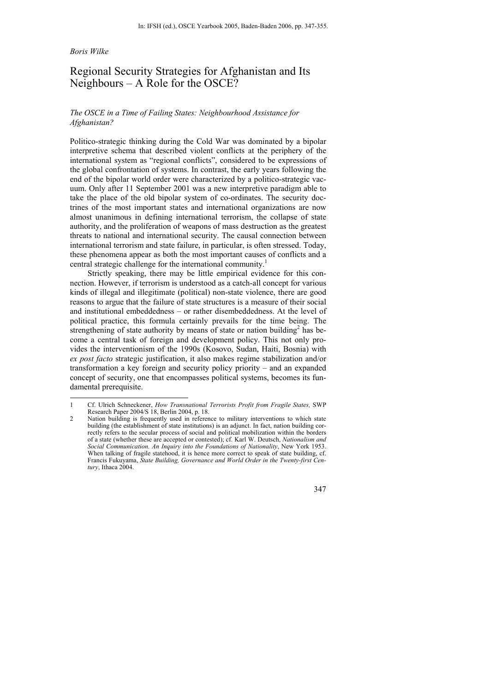### *Boris Wilke*

l

# Regional Security Strategies for Afghanistan and Its Neighbours – A Role for the OSCE?

## *The OSCE in a Time of Failing States: Neighbourhood Assistance for Afghanistan?*

Politico-strategic thinking during the Cold War was dominated by a bipolar interpretive schema that described violent conflicts at the periphery of the international system as "regional conflicts", considered to be expressions of the global confrontation of systems. In contrast, the early years following the end of the bipolar world order were characterized by a politico-strategic vacuum. Only after 11 September 2001 was a new interpretive paradigm able to take the place of the old bipolar system of co-ordinates. The security doctrines of the most important states and international organizations are now almost unanimous in defining international terrorism, the collapse of state authority, and the proliferation of weapons of mass destruction as the greatest threats to national and international security. The causal connection between international terrorism and state failure, in particular, is often stressed. Today, these phenomena appear as both the most important causes of conflicts and a central strategic challenge for the international community.<sup>1</sup>

Strictly speaking, there may be little empirical evidence for this connection. However, if terrorism is understood as a catch-all concept for various kinds of illegal and illegitimate (political) non-state violence, there are good reasons to argue that the failure of state structures is a measure of their social and institutional embeddedness – or rather disembeddedness. At the level of political practice, this formula certainly prevails for the time being. The strengthening of state authority by means of state or nation building<sup>2</sup> has become a central task of foreign and development policy. This not only provides the interventionism of the 1990s (Kosovo, Sudan, Haiti, Bosnia) with *ex post facto* strategic justification, it also makes regime stabilization and/or transformation a key foreign and security policy priority – and an expanded concept of security, one that encompasses political systems, becomes its fundamental prerequisite.

347

<sup>1</sup> Cf. Ulrich Schneckener, *How Transnational Terrorists Profit from Fragile States,* SWP Research Paper 2004/S 18, Berlin 2004, p. 18.

<sup>2</sup> Nation building is frequently used in reference to military interventions to which state building (the establishment of state institutions) is an adjunct. In fact, nation building correctly refers to the secular process of social and political mobilization within the borders of a state (whether these are accepted or contested); cf. Karl W. Deutsch, *Nationalism and Social Communication. An Inquiry into the Foundations of Nationality*, New York 1953. When talking of fragile statehood, it is hence more correct to speak of state building, cf. Francis Fukuyama, *State Building, Governance and World Order in the Twenty-first Century*, Ithaca 2004.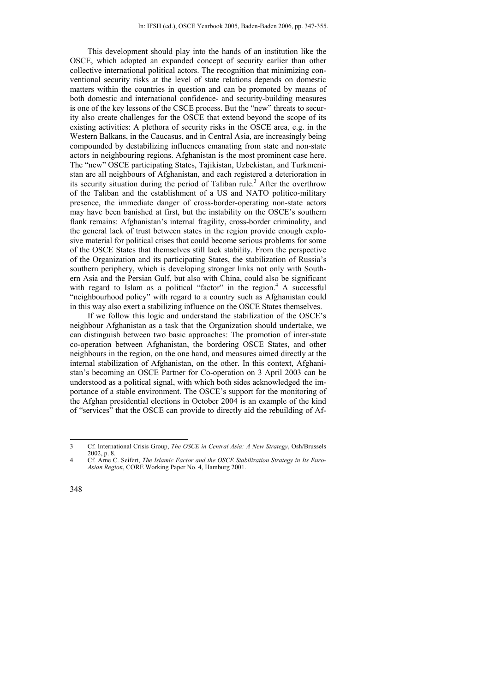This development should play into the hands of an institution like the OSCE, which adopted an expanded concept of security earlier than other collective international political actors. The recognition that minimizing conventional security risks at the level of state relations depends on domestic matters within the countries in question and can be promoted by means of both domestic and international confidence- and security-building measures is one of the key lessons of the CSCE process. But the "new" threats to security also create challenges for the OSCE that extend beyond the scope of its existing activities: A plethora of security risks in the OSCE area, e.g. in the Western Balkans, in the Caucasus, and in Central Asia, are increasingly being compounded by destabilizing influences emanating from state and non-state actors in neighbouring regions. Afghanistan is the most prominent case here. The "new" OSCE participating States, Tajikistan, Uzbekistan, and Turkmenistan are all neighbours of Afghanistan, and each registered a deterioration in its security situation during the period of Taliban rule.<sup>3</sup> After the overthrow of the Taliban and the establishment of a US and NATO politico-military presence, the immediate danger of cross-border-operating non-state actors may have been banished at first, but the instability on the OSCE's southern flank remains: Afghanistan's internal fragility, cross-border criminality, and the general lack of trust between states in the region provide enough explosive material for political crises that could become serious problems for some of the OSCE States that themselves still lack stability. From the perspective of the Organization and its participating States, the stabilization of Russia's southern periphery, which is developing stronger links not only with Southern Asia and the Persian Gulf, but also with China, could also be significant with regard to Islam as a political "factor" in the region.<sup>4</sup> A successful "neighbourhood policy" with regard to a country such as Afghanistan could in this way also exert a stabilizing influence on the OSCE States themselves.

If we follow this logic and understand the stabilization of the OSCE's neighbour Afghanistan as a task that the Organization should undertake, we can distinguish between two basic approaches: The promotion of inter-state co-operation between Afghanistan, the bordering OSCE States, and other neighbours in the region, on the one hand, and measures aimed directly at the internal stabilization of Afghanistan, on the other. In this context, Afghanistan's becoming an OSCE Partner for Co-operation on 3 April 2003 can be understood as a political signal, with which both sides acknowledged the importance of a stable environment. The OSCE's support for the monitoring of the Afghan presidential elections in October 2004 is an example of the kind of "services" that the OSCE can provide to directly aid the rebuilding of Af-

<sup>3</sup> Cf. International Crisis Group, *The OSCE in Central Asia: A New Strategy*, Osh/Brussels 2002, p. 8.

<sup>4</sup> Cf. Arne C. Seifert, *The Islamic Factor and the OSCE Stabilization Strategy in Its Euro-Asian Region*, CORE Working Paper No. 4, Hamburg 2001.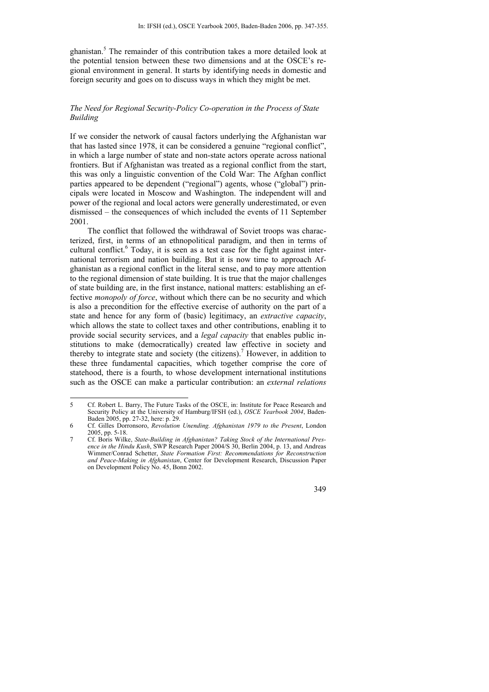ghanistan.<sup>5</sup> The remainder of this contribution takes a more detailed look at the potential tension between these two dimensions and at the OSCE's regional environment in general. It starts by identifying needs in domestic and foreign security and goes on to discuss ways in which they might be met.

## *The Need for Regional Security-Policy Co-operation in the Process of State Building*

If we consider the network of causal factors underlying the Afghanistan war that has lasted since 1978, it can be considered a genuine "regional conflict", in which a large number of state and non-state actors operate across national frontiers. But if Afghanistan was treated as a regional conflict from the start, this was only a linguistic convention of the Cold War: The Afghan conflict parties appeared to be dependent ("regional") agents, whose ("global") principals were located in Moscow and Washington. The independent will and power of the regional and local actors were generally underestimated, or even dismissed – the consequences of which included the events of 11 September 2001.

The conflict that followed the withdrawal of Soviet troops was characterized, first, in terms of an ethnopolitical paradigm, and then in terms of cultural conflict.<sup>6</sup> Today, it is seen as a test case for the fight against international terrorism and nation building. But it is now time to approach Afghanistan as a regional conflict in the literal sense, and to pay more attention to the regional dimension of state building. It is true that the major challenges of state building are, in the first instance, national matters: establishing an effective *monopoly of force*, without which there can be no security and which is also a precondition for the effective exercise of authority on the part of a state and hence for any form of (basic) legitimacy, an *extractive capacity*, which allows the state to collect taxes and other contributions, enabling it to provide social security services, and a *legal capacity* that enables public institutions to make (democratically) created law effective in society and thereby to integrate state and society (the citizens).<sup>7</sup> However, in addition to these three fundamental capacities, which together comprise the core of statehood, there is a fourth, to whose development international institutions such as the OSCE can make a particular contribution: an *external relations* 

<sup>7</sup> Cf. Boris Wilke, *State-Building in Afghanistan? Taking Stock of the International Presence in the Hindu Kush*, SWP Research Paper 2004/S 30, Berlin 2004, p. 13, and Andreas Wimmer/Conrad Schetter, *State Formation First: Recommendations for Reconstruction and Peace-Making in Afghanistan*, Center for Development Research, Discussion Paper on Development Policy No. 45, Bonn 2002.



<sup>5</sup> Cf. Robert L. Barry, The Future Tasks of the OSCE, in: Institute for Peace Research and Security Policy at the University of Hamburg/IFSH (ed.), *OSCE Yearbook 2004*, Baden-Baden 2005, pp. 27-32, here: p. 29.

<sup>6</sup> Cf. Gilles Dorronsoro, *Revolution Unending. Afghanistan 1979 to the Present*, London 2005, pp. 5-18.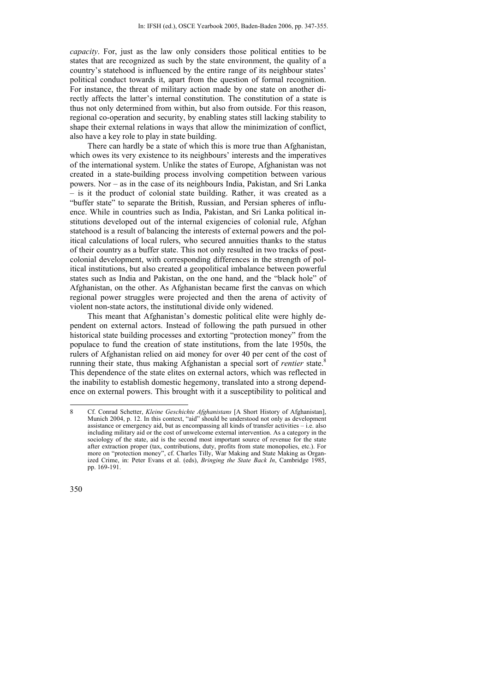*capacity*. For, just as the law only considers those political entities to be states that are recognized as such by the state environment, the quality of a country's statehood is influenced by the entire range of its neighbour states' political conduct towards it, apart from the question of formal recognition. For instance, the threat of military action made by one state on another directly affects the latter's internal constitution. The constitution of a state is thus not only determined from within, but also from outside. For this reason, regional co-operation and security, by enabling states still lacking stability to shape their external relations in ways that allow the minimization of conflict, also have a key role to play in state building.

There can hardly be a state of which this is more true than Afghanistan, which owes its very existence to its neighbours' interests and the imperatives of the international system. Unlike the states of Europe, Afghanistan was not created in a state-building process involving competition between various powers. Nor – as in the case of its neighbours India, Pakistan, and Sri Lanka – is it the product of colonial state building. Rather, it was created as a "buffer state" to separate the British, Russian, and Persian spheres of influence. While in countries such as India, Pakistan, and Sri Lanka political institutions developed out of the internal exigencies of colonial rule, Afghan statehood is a result of balancing the interests of external powers and the political calculations of local rulers, who secured annuities thanks to the status of their country as a buffer state. This not only resulted in two tracks of postcolonial development, with corresponding differences in the strength of political institutions, but also created a geopolitical imbalance between powerful states such as India and Pakistan, on the one hand, and the "black hole" of Afghanistan, on the other. As Afghanistan became first the canvas on which regional power struggles were projected and then the arena of activity of violent non-state actors, the institutional divide only widened.

This meant that Afghanistan's domestic political elite were highly dependent on external actors. Instead of following the path pursued in other historical state building processes and extorting "protection money" from the populace to fund the creation of state institutions, from the late 1950s, the rulers of Afghanistan relied on aid money for over 40 per cent of the cost of running their state, thus making Afghanistan a special sort of *rentier* state.<sup>8</sup> This dependence of the state elites on external actors, which was reflected in the inability to establish domestic hegemony, translated into a strong dependence on external powers. This brought with it a susceptibility to political and

<sup>8</sup> Cf. Conrad Schetter, *Kleine Geschichte Afghanistans* [A Short History of Afghanistan], Munich 2004, p. 12. In this context, "aid" should be understood not only as development assistance or emergency aid, but as encompassing all kinds of transfer activities – i.e. also including military aid or the cost of unwelcome external intervention. As a category in the sociology of the state, aid is the second most important source of revenue for the state after extraction proper (tax, contributions, duty, profits from state monopolies, etc.). For more on "protection money", cf. Charles Tilly, War Making and State Making as Organized Crime, in: Peter Evans et al. (eds), *Bringing the State Back In*, Cambridge 1985, pp. 169-191.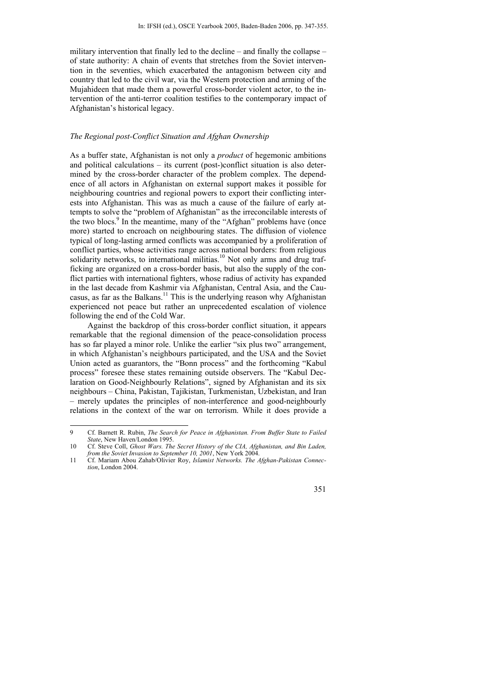military intervention that finally led to the decline – and finally the collapse – of state authority: A chain of events that stretches from the Soviet intervention in the seventies, which exacerbated the antagonism between city and country that led to the civil war, via the Western protection and arming of the Mujahideen that made them a powerful cross-border violent actor, to the intervention of the anti-terror coalition testifies to the contemporary impact of Afghanistan's historical legacy.

#### *The Regional post-Conflict Situation and Afghan Ownership*

As a buffer state, Afghanistan is not only a *product* of hegemonic ambitions and political calculations *–* its current (post-)conflict situation is also determined by the cross-border character of the problem complex. The dependence of all actors in Afghanistan on external support makes it possible for neighbouring countries and regional powers to export their conflicting interests into Afghanistan. This was as much a cause of the failure of early attempts to solve the "problem of Afghanistan" as the irreconcilable interests of the two blocs.<sup>9</sup> In the meantime, many of the "Afghan" problems have (once more) started to encroach on neighbouring states. The diffusion of violence typical of long-lasting armed conflicts was accompanied by a proliferation of conflict parties, whose activities range across national borders: from religious solidarity networks, to international militias.<sup>10</sup> Not only arms and drug trafficking are organized on a cross-border basis, but also the supply of the conflict parties with international fighters, whose radius of activity has expanded in the last decade from Kashmir via Afghanistan, Central Asia, and the Caucasus, as far as the Balkans.<sup>11</sup> This is the underlying reason why Afghanistan experienced not peace but rather an unprecedented escalation of violence following the end of the Cold War.

Against the backdrop of this cross-border conflict situation, it appears remarkable that the regional dimension of the peace-consolidation process has so far played a minor role. Unlike the earlier "six plus two" arrangement, in which Afghanistan's neighbours participated, and the USA and the Soviet Union acted as guarantors, the "Bonn process" and the forthcoming "Kabul process" foresee these states remaining outside observers. The "Kabul Declaration on Good-Neighbourly Relations", signed by Afghanistan and its six neighbours – China, Pakistan, Tajikistan, Turkmenistan, Uzbekistan, and Iran – merely updates the principles of non-interference and good-neighbourly relations in the context of the war on terrorism. While it does provide a

<sup>11</sup> Cf. Mariam Abou Zahab/Olivier Roy, *Islamist Networks. The Afghan-Pakistan Connection*, London 2004.



<sup>9</sup> Cf. Barnett R. Rubin, *The Search for Peace in Afghanistan. From Buffer State to Failed State*, New Haven/London 1995.

<sup>10</sup> Cf. Steve Coll, *Ghost Wars. The Secret History of the CIA, Afghanistan, and Bin Laden, from the Soviet Invasion to September 10, 2001*, New York 2004.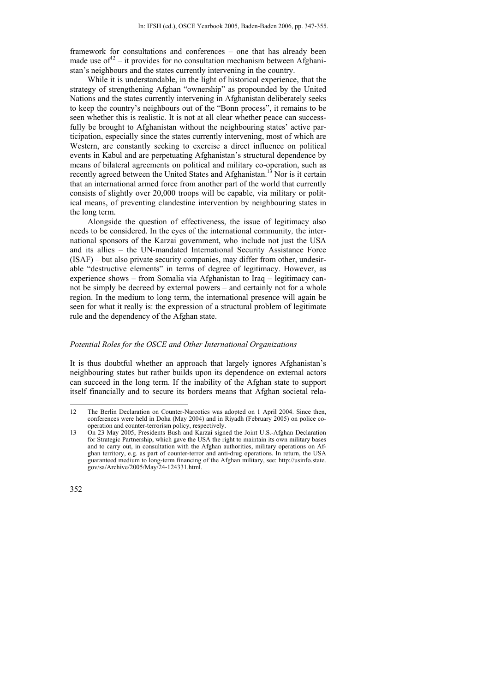framework for consultations and conferences – one that has already been made use of  $12 - it$  provides for no consultation mechanism between Afghanistan's neighbours and the states currently intervening in the country.

While it is understandable, in the light of historical experience, that the strategy of strengthening Afghan "ownership" as propounded by the United Nations and the states currently intervening in Afghanistan deliberately seeks to keep the country's neighbours out of the "Bonn process", it remains to be seen whether this is realistic. It is not at all clear whether peace can successfully be brought to Afghanistan without the neighbouring states' active participation, especially since the states currently intervening, most of which are Western, are constantly seeking to exercise a direct influence on political events in Kabul and are perpetuating Afghanistan's structural dependence by means of bilateral agreements on political and military co-operation, such as recently agreed between the United States and Afghanistan.<sup>13</sup> Nor is it certain that an international armed force from another part of the world that currently consists of slightly over 20,000 troops will be capable, via military or political means, of preventing clandestine intervention by neighbouring states in the long term.

Alongside the question of effectiveness, the issue of legitimacy also needs to be considered. In the eyes of the international community*,* the international sponsors of the Karzai government, who include not just the USA and its allies – the UN-mandated International Security Assistance Force (ISAF) – but also private security companies, may differ from other, undesirable "destructive elements" in terms of degree of legitimacy. However, as experience shows – from Somalia via Afghanistan to Iraq – legitimacy cannot be simply be decreed by external powers – and certainly not for a whole region. In the medium to long term, the international presence will again be seen for what it really is: the expression of a structural problem of legitimate rule and the dependency of the Afghan state.

#### *Potential Roles for the OSCE and Other International Organizations*

It is thus doubtful whether an approach that largely ignores Afghanistan's neighbouring states but rather builds upon its dependence on external actors can succeed in the long term. If the inability of the Afghan state to support itself financially and to secure its borders means that Afghan societal rela-

<sup>12</sup> The Berlin Declaration on Counter-Narcotics was adopted on 1 April 2004. Since then, conferences were held in Doha (May 2004) and in Riyadh (February 2005) on police cooperation and counter-terrorism policy, respectively.

<sup>13</sup> On 23 May 2005, Presidents Bush and Karzai signed the Joint U.S.-Afghan Declaration for Strategic Partnership, which gave the USA the right to maintain its own military bases and to carry out, in consultation with the Afghan authorities, military operations on Afghan territory, e.g. as part of counter-terror and anti-drug operations. In return, the USA guaranteed medium to long-term financing of the Afghan military, see: http://usinfo.state. gov/sa/Archive/2005/May/24-124331.html.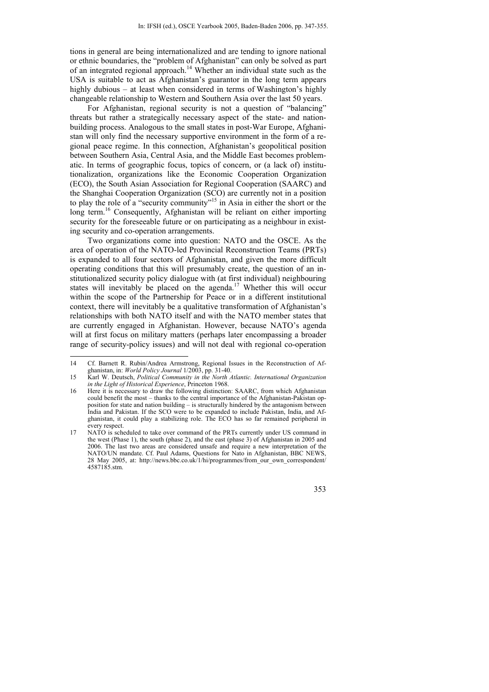tions in general are being internationalized and are tending to ignore national or ethnic boundaries, the "problem of Afghanistan" can only be solved as part of an integrated regional approach.<sup>14</sup> Whether an individual state such as the USA is suitable to act as Afghanistan's guarantor in the long term appears highly dubious – at least when considered in terms of Washington's highly changeable relationship to Western and Southern Asia over the last 50 years.

For Afghanistan, regional security is not a question of "balancing" threats but rather a strategically necessary aspect of the state- and nationbuilding process. Analogous to the small states in post-War Europe, Afghanistan will only find the necessary supportive environment in the form of a regional peace regime. In this connection, Afghanistan's geopolitical position between Southern Asia, Central Asia, and the Middle East becomes problematic. In terms of geographic focus, topics of concern, or (a lack of) institutionalization, organizations like the Economic Cooperation Organization (ECO), the South Asian Association for Regional Cooperation (SAARC) and the Shanghai Cooperation Organization (SCO) are currently not in a position to play the role of a "security community"<sup>15</sup> in Asia in either the short or the long term.<sup>16</sup> Consequently, Afghanistan will be reliant on either importing security for the foreseeable future or on participating as a neighbour in existing security and co-operation arrangements.

Two organizations come into question: NATO and the OSCE. As the area of operation of the NATO-led Provincial Reconstruction Teams (PRTs) is expanded to all four sectors of Afghanistan, and given the more difficult operating conditions that this will presumably create, the question of an institutionalized security policy dialogue with (at first individual) neighbouring states will inevitably be placed on the agenda.<sup>17</sup> Whether this will occur within the scope of the Partnership for Peace or in a different institutional context, there will inevitably be a qualitative transformation of Afghanistan's relationships with both NATO itself and with the NATO member states that are currently engaged in Afghanistan. However, because NATO's agenda will at first focus on military matters (perhaps later encompassing a broader range of security-policy issues) and will not deal with regional co-operation

 $14$ 14 Cf. Barnett R. Rubin/Andrea Armstrong, Regional Issues in the Reconstruction of Afghanistan, in: *World Policy Journal* 1/2003, pp. 31-40.

<sup>15</sup> Karl W. Deutsch, *Political Community in the North Atlantic. International Organization in the Light of Historical Experience*, Princeton 1968.

<sup>16</sup> Here it is necessary to draw the following distinction: SAARC, from which Afghanistan could benefit the most – thanks to the central importance of the Afghanistan-Pakistan opposition for state and nation building – is structurally hindered by the antagonism between India and Pakistan. If the SCO were to be expanded to include Pakistan, India, and Afghanistan, it could play a stabilizing role. The ECO has so far remained peripheral in every respect.

<sup>17</sup> NATO is scheduled to take over command of the PRTs currently under US command in the west (Phase 1), the south (phase 2), and the east (phase 3) of Afghanistan in 2005 and 2006. The last two areas are considered unsafe and require a new interpretation of the NATO/UN mandate. Cf. Paul Adams, Questions for Nato in Afghanistan, BBC NEWS, 28 May 2005, at: http://news.bbc.co.uk/1/hi/programmes/from\_our\_own\_correspondent/ 4587185.stm.

<sup>353</sup>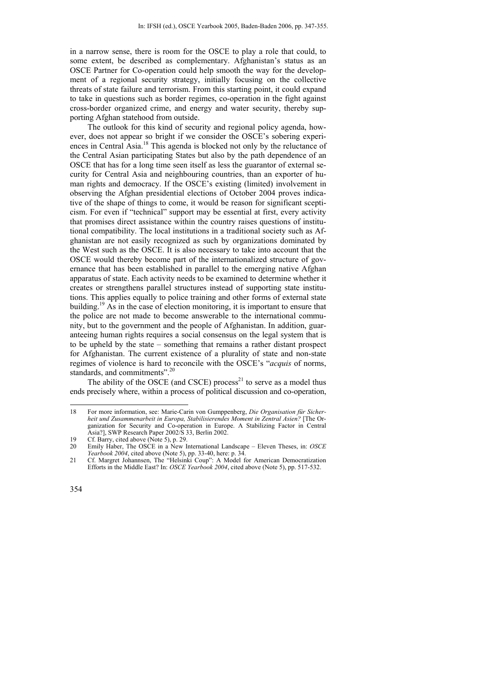in a narrow sense, there is room for the OSCE to play a role that could, to some extent, be described as complementary. Afghanistan's status as an OSCE Partner for Co-operation could help smooth the way for the development of a regional security strategy, initially focusing on the collective threats of state failure and terrorism. From this starting point, it could expand to take in questions such as border regimes, co-operation in the fight against cross-border organized crime, and energy and water security, thereby supporting Afghan statehood from outside.

The outlook for this kind of security and regional policy agenda, however, does not appear so bright if we consider the OSCE's sobering experiences in Central Asia.18 This agenda is blocked not only by the reluctance of the Central Asian participating States but also by the path dependence of an OSCE that has for a long time seen itself as less the guarantor of external security for Central Asia and neighbouring countries, than an exporter of human rights and democracy. If the OSCE's existing (limited) involvement in observing the Afghan presidential elections of October 2004 proves indicative of the shape of things to come, it would be reason for significant scepticism. For even if "technical" support may be essential at first, every activity that promises direct assistance within the country raises questions of institutional compatibility. The local institutions in a traditional society such as Afghanistan are not easily recognized as such by organizations dominated by the West such as the OSCE. It is also necessary to take into account that the OSCE would thereby become part of the internationalized structure of governance that has been established in parallel to the emerging native Afghan apparatus of state. Each activity needs to be examined to determine whether it creates or strengthens parallel structures instead of supporting state institutions. This applies equally to police training and other forms of external state building.<sup>19</sup> As in the case of election monitoring, it is important to ensure that the police are not made to become answerable to the international community, but to the government and the people of Afghanistan. In addition, guaranteeing human rights requires a social consensus on the legal system that is to be upheld by the state – something that remains a rather distant prospect for Afghanistan. The current existence of a plurality of state and non-state regimes of violence is hard to reconcile with the OSCE's "*acquis* of norms, standards, and commitments".<sup>20</sup>

The ability of the OSCE (and CSCE) process<sup>21</sup> to serve as a model thus ends precisely where, within a process of political discussion and co-operation,

<sup>18</sup> For more information, see: Marie-Carin von Gumppenberg, *Die Organisation für Sicherheit und Zusammenarbeit in Europa, Stabilisierendes Moment in Zentral Asien?* [The Organization for Security and Co-operation in Europe. A Stabilizing Factor in Central Asia?], SWP Research Paper 2002/S 33, Berlin 2002.

<sup>19</sup> Cf. Barry, cited above (Note 5), p. 29.

<sup>20</sup> Emily Haber, The OSCE in a New International Landscape – Eleven Theses, in: *OSCE Yearbook 2004*, cited above (Note 5), pp. 33-40, here: p. 34.

<sup>21</sup> Cf. Margret Johannsen, The "Helsinki Coup": A Model for American Democratization Efforts in the Middle East? In: *OSCE Yearbook 2004*, cited above (Note 5), pp. 517-532.